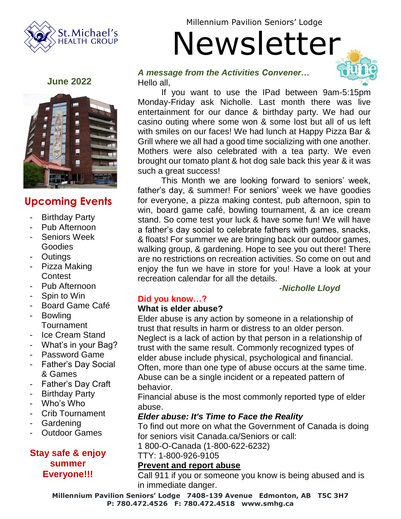

Millennium Pavilion Seniors' Lodge

Newsletter

#### **June 2022**



# **Upcoming Events**

- **Birthday Party**
- Pub Afternoon
- Seniors Week **Goodies**
- **Outings**
- Pizza Making **Contest**
- Pub Afternoon
- Spin to Win
- Board Game Café
- Bowling **Tournament**
- Ice Cream Stand
- What's in your Bag?
- Password Game
- Father's Day Social & Games
- Father's Day Craft
- **Birthday Party**
- Who's Who
- Crib Tournament
- **Gardening**
- **Outdoor Games**

## **Stay safe & enjoy summer Everyone!!!**

# *A message from the Activities Convener…*



If you want to use the IPad between 9am-5:15pm Monday-Friday ask Nicholle. Last month there was live entertainment for our dance & birthday party. We had our casino outing where some won & some lost but all of us left with smiles on our faces! We had lunch at Happy Pizza Bar & Grill where we all had a good time socializing with one another. Mothers were also celebrated with a tea party. We even brought our tomato plant & hot dog sale back this year & it was such a great success!

This Month we are looking forward to seniors' week, father's day, & summer! For seniors' week we have goodies for everyone, a pizza making contest, pub afternoon, spin to win, board game café, bowling tournament, & an ice cream stand. So come test your luck & have some fun! We will have a father's day social to celebrate fathers with games, snacks, & floats! For summer we are bringing back our outdoor games, walking group, & gardening. Hope to see you out there! There are no restrictions on recreation activities. So come on out and enjoy the fun we have in store for you! Have a look at your recreation calendar for all the details.

## -*Nicholle Lloyd*

## **Did you know…?**

## **What is elder abuse?**

Elder abuse is any action by someone in a relationship of trust that results in harm or distress to an older person. Neglect is a lack of action by that person in a relationship of trust with the same result. Commonly recognized types of elder abuse include physical, psychological and financial. Often, more than one type of abuse occurs at the same time. Abuse can be a single incident or a repeated pattern of behavior.

Financial abuse is the most commonly reported type of elder abuse.

#### *Elder abuse: It's Time to Face the Reality*

To find out more on what the Government of Canada is doing for seniors visit Canada.ca/Seniors or call:

1 800-O-Canada (1-800-622-6232)

TTY: 1-800-926-9105

#### **Prevent and report abuse**

Call 911 if you or someone you know is being abused and is in immediate danger.

**Millennium Pavilion Seniors' Lodge 7408-139 Avenue Edmonton, AB T5C 3H7 P: 780.472.4526 F: 780.472.4518 www.smhg.ca**